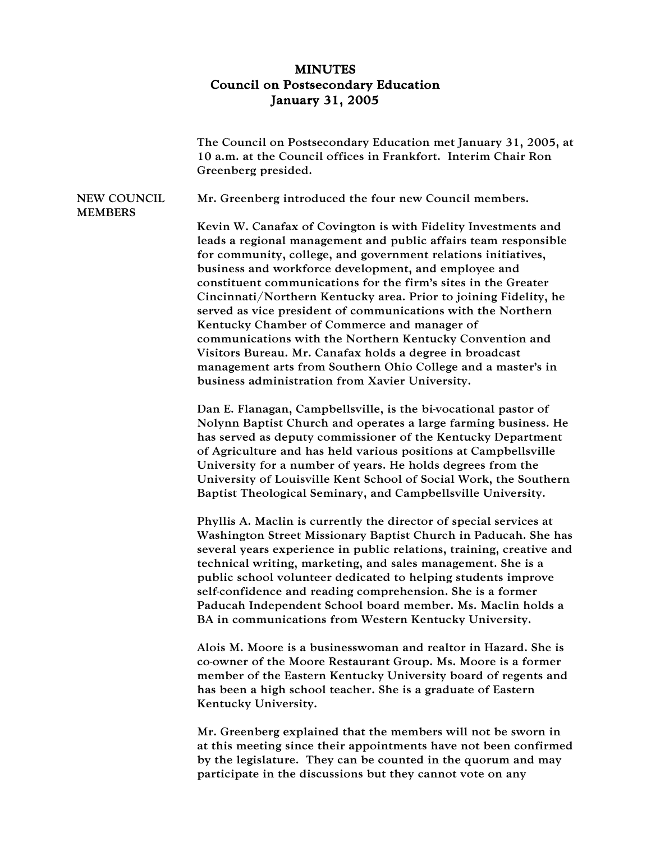## MINUTES Council on Postsecondary Education January 31, 2005

|                               | The Council on Postsecondary Education met January 31, 2005, at<br>10 a.m. at the Council offices in Frankfort. Interim Chair Ron<br>Greenberg presided.                                                                                                                                                                                                                                                                                                                                                                                                                                                                                                                                                                                                   |
|-------------------------------|------------------------------------------------------------------------------------------------------------------------------------------------------------------------------------------------------------------------------------------------------------------------------------------------------------------------------------------------------------------------------------------------------------------------------------------------------------------------------------------------------------------------------------------------------------------------------------------------------------------------------------------------------------------------------------------------------------------------------------------------------------|
| NEW COUNCIL<br><b>MEMBERS</b> | Mr. Greenberg introduced the four new Council members.                                                                                                                                                                                                                                                                                                                                                                                                                                                                                                                                                                                                                                                                                                     |
|                               | Kevin W. Canafax of Covington is with Fidelity Investments and<br>leads a regional management and public affairs team responsible<br>for community, college, and government relations initiatives,<br>business and workforce development, and employee and<br>constituent communications for the firm's sites in the Greater<br>Cincinnati/Northern Kentucky area. Prior to joining Fidelity, he<br>served as vice president of communications with the Northern<br>Kentucky Chamber of Commerce and manager of<br>communications with the Northern Kentucky Convention and<br>Visitors Bureau. Mr. Canafax holds a degree in broadcast<br>management arts from Southern Ohio College and a master's in<br>business administration from Xavier University. |
|                               | Dan E. Flanagan, Campbellsville, is the bi-vocational pastor of<br>Nolynn Baptist Church and operates a large farming business. He<br>has served as deputy commissioner of the Kentucky Department<br>of Agriculture and has held various positions at Campbellsville<br>University for a number of years. He holds degrees from the<br>University of Louisville Kent School of Social Work, the Southern<br>Baptist Theological Seminary, and Campbellsville University.                                                                                                                                                                                                                                                                                  |
|                               | Phyllis A. Maclin is currently the director of special services at<br>Washington Street Missionary Baptist Church in Paducah. She has<br>several years experience in public relations, training, creative and<br>technical writing, marketing, and sales management. She is a<br>public school volunteer dedicated to helping students improve<br>self-confidence and reading comprehension. She is a former<br>Paducah Independent School board member. Ms. Maclin holds a<br>BA in communications from Western Kentucky University.                                                                                                                                                                                                                      |
|                               | Alois M. Moore is a businesswoman and realtor in Hazard. She is<br>co-owner of the Moore Restaurant Group. Ms. Moore is a former<br>member of the Eastern Kentucky University board of regents and<br>has been a high school teacher. She is a graduate of Eastern<br>Kentucky University.                                                                                                                                                                                                                                                                                                                                                                                                                                                                 |
|                               | Mr. Greenberg explained that the members will not be sworn in                                                                                                                                                                                                                                                                                                                                                                                                                                                                                                                                                                                                                                                                                              |

at this meeting since their appointments have not been confirmed by the legislature. They can be counted in the quorum and may participate in the discussions but they cannot vote on any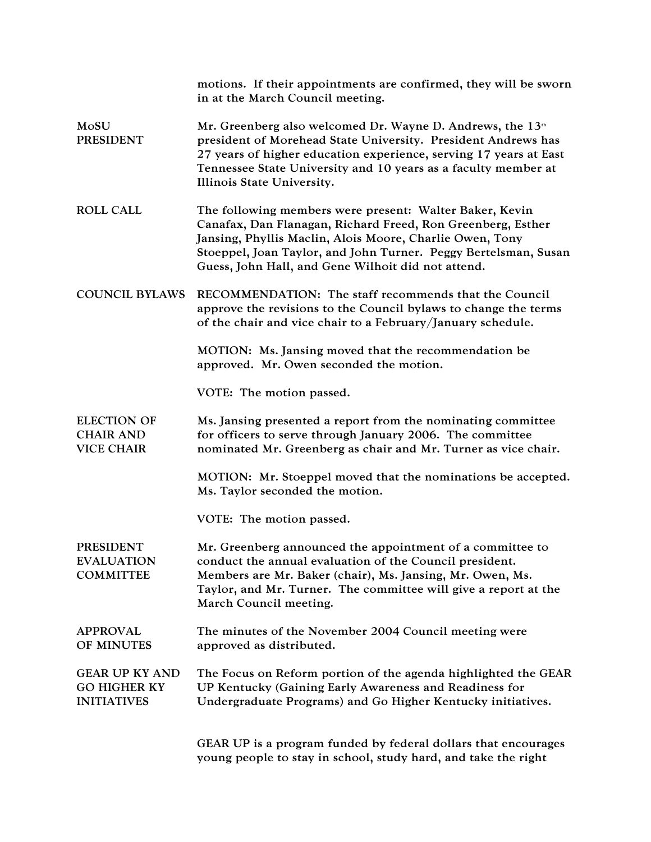|                                                                    | motions. If their appointments are confirmed, they will be sworn<br>in at the March Council meeting.                                                                                                                                                                                                        |
|--------------------------------------------------------------------|-------------------------------------------------------------------------------------------------------------------------------------------------------------------------------------------------------------------------------------------------------------------------------------------------------------|
| MoSU<br><b>PRESIDENT</b>                                           | Mr. Greenberg also welcomed Dr. Wayne D. Andrews, the 13th<br>president of Morehead State University. President Andrews has<br>27 years of higher education experience, serving 17 years at East<br>Tennessee State University and 10 years as a faculty member at<br>Illinois State University.            |
| <b>ROLL CALL</b>                                                   | The following members were present: Walter Baker, Kevin<br>Canafax, Dan Flanagan, Richard Freed, Ron Greenberg, Esther<br>Jansing, Phyllis Maclin, Alois Moore, Charlie Owen, Tony<br>Stoeppel, Joan Taylor, and John Turner. Peggy Bertelsman, Susan<br>Guess, John Hall, and Gene Wilhoit did not attend. |
| <b>COUNCIL BYLAWS</b>                                              | RECOMMENDATION: The staff recommends that the Council<br>approve the revisions to the Council bylaws to change the terms<br>of the chair and vice chair to a February/January schedule.                                                                                                                     |
|                                                                    | MOTION: Ms. Jansing moved that the recommendation be<br>approved. Mr. Owen seconded the motion.                                                                                                                                                                                                             |
|                                                                    | VOTE: The motion passed.                                                                                                                                                                                                                                                                                    |
| <b>ELECTION OF</b><br><b>CHAIR AND</b><br><b>VICE CHAIR</b>        | Ms. Jansing presented a report from the nominating committee<br>for officers to serve through January 2006. The committee<br>nominated Mr. Greenberg as chair and Mr. Turner as vice chair.                                                                                                                 |
|                                                                    | MOTION: Mr. Stoeppel moved that the nominations be accepted.<br>Ms. Taylor seconded the motion.                                                                                                                                                                                                             |
|                                                                    | VOTE: The motion passed.                                                                                                                                                                                                                                                                                    |
| <b>PRESIDENT</b><br><b>EVALUATION</b><br><b>COMMITTEE</b>          | Mr. Greenberg announced the appointment of a committee to<br>conduct the annual evaluation of the Council president.<br>Members are Mr. Baker (chair), Ms. Jansing, Mr. Owen, Ms.<br>Taylor, and Mr. Turner. The committee will give a report at the<br>March Council meeting.                              |
| <b>APPROVAL</b><br>OF MINUTES                                      | The minutes of the November 2004 Council meeting were<br>approved as distributed.                                                                                                                                                                                                                           |
| <b>GEAR UP KY AND</b><br><b>GO HIGHER KY</b><br><b>INITIATIVES</b> | The Focus on Reform portion of the agenda highlighted the GEAR<br>UP Kentucky (Gaining Early Awareness and Readiness for<br>Undergraduate Programs) and Go Higher Kentucky initiatives.                                                                                                                     |
|                                                                    | GEAR UP is a program funded by federal dollars that encourages<br>young people to stay in school, study hard, and take the right                                                                                                                                                                            |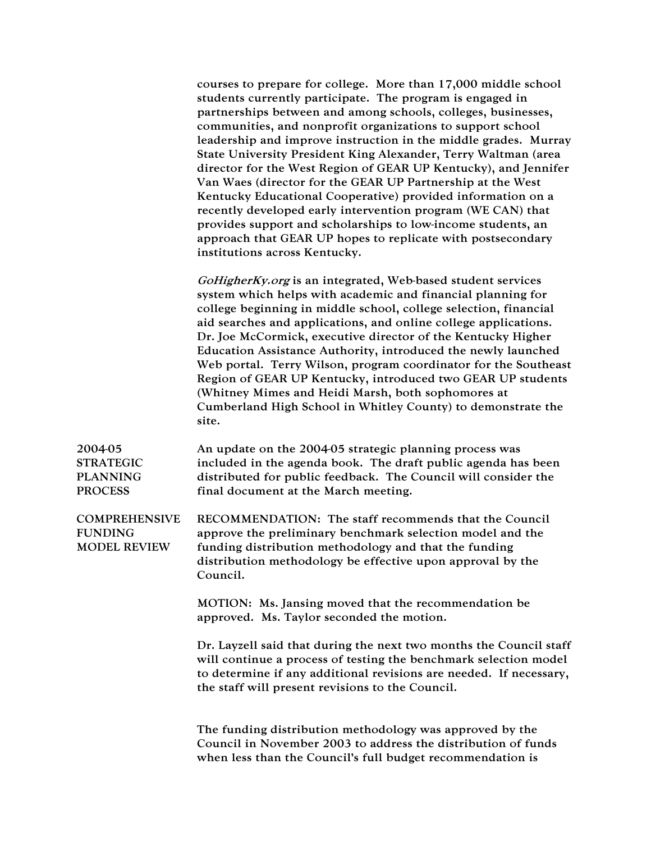courses to prepare for college. More than 17,000 middle school students currently participate. The program is engaged in partnerships between and among schools, colleges, businesses, communities, and nonprofit organizations to support school leadership and improve instruction in the middle grades. Murray State University President King Alexander, Terry Waltman (area director for the West Region of GEAR UP Kentucky), and Jennifer Van Waes (director for the GEAR UP Partnership at the West Kentucky Educational Cooperative) provided information on a recently developed early intervention program (WE CAN) that provides support and scholarships to low-income students, an approach that GEAR UP hopes to replicate with postsecondary institutions across Kentucky.

GoHigherKy.org is an integrated, Web-based student services system which helps with academic and financial planning for college beginning in middle school, college selection, financial aid searches and applications, and online college applications. Dr. Joe McCormick, executive director of the Kentucky Higher Education Assistance Authority, introduced the newly launched Web portal. Terry Wilson, program coordinator for the Southeast Region of GEAR UP Kentucky, introduced two GEAR UP students (Whitney Mimes and Heidi Marsh, both sophomores at Cumberland High School in Whitley County) to demonstrate the site.

2004-05 STRATEGIC PLANNING PROCESS An update on the 2004-05 strategic planning process was included in the agenda book. The draft public agenda has been distributed for public feedback. The Council will consider the final document at the March meeting.

COMPREHENSIVE FUNDING MODEL REVIEW RECOMMENDATION: The staff recommends that the Council approve the preliminary benchmark selection model and the funding distribution methodology and that the funding distribution methodology be effective upon approval by the Council.

> MOTION: Ms. Jansing moved that the recommendation be approved. Ms. Taylor seconded the motion.

Dr. Layzell said that during the next two months the Council staff will continue a process of testing the benchmark selection model to determine if any additional revisions are needed. If necessary, the staff will present revisions to the Council.

The funding distribution methodology was approved by the Council in November 2003 to address the distribution of funds when less than the Council's full budget recommendation is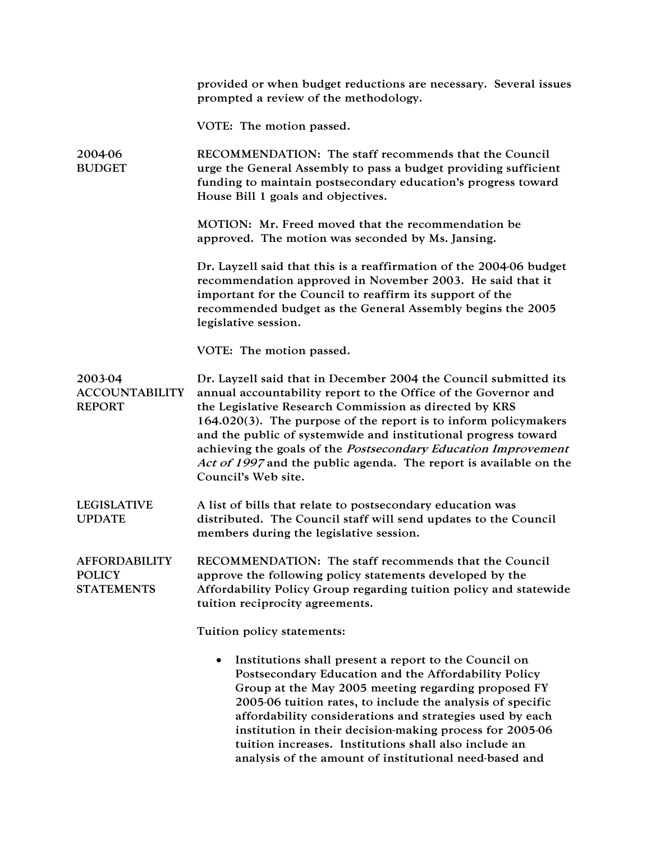|                                                            | provided or when budget reductions are necessary. Several issues<br>prompted a review of the methodology.                                                                                                                                                                                                                                                                                                                                                                                       |
|------------------------------------------------------------|-------------------------------------------------------------------------------------------------------------------------------------------------------------------------------------------------------------------------------------------------------------------------------------------------------------------------------------------------------------------------------------------------------------------------------------------------------------------------------------------------|
|                                                            | VOTE: The motion passed.                                                                                                                                                                                                                                                                                                                                                                                                                                                                        |
| 2004-06<br><b>BUDGET</b>                                   | RECOMMENDATION: The staff recommends that the Council<br>urge the General Assembly to pass a budget providing sufficient<br>funding to maintain postsecondary education's progress toward<br>House Bill 1 goals and objectives.                                                                                                                                                                                                                                                                 |
|                                                            | MOTION: Mr. Freed moved that the recommendation be<br>approved. The motion was seconded by Ms. Jansing.                                                                                                                                                                                                                                                                                                                                                                                         |
|                                                            | Dr. Layzell said that this is a reaffirmation of the 2004-06 budget<br>recommendation approved in November 2003. He said that it<br>important for the Council to reaffirm its support of the<br>recommended budget as the General Assembly begins the 2005<br>legislative session.                                                                                                                                                                                                              |
|                                                            | VOTE: The motion passed.                                                                                                                                                                                                                                                                                                                                                                                                                                                                        |
| 2003-04<br><b>ACCOUNTABILITY</b><br><b>REPORT</b>          | Dr. Layzell said that in December 2004 the Council submitted its<br>annual accountability report to the Office of the Governor and<br>the Legislative Research Commission as directed by KRS<br>164.020(3). The purpose of the report is to inform policymakers<br>and the public of systemwide and institutional progress toward<br>achieving the goals of the Postsecondary Education Improvement<br>Act of 1997 and the public agenda. The report is available on the<br>Council's Web site. |
| <b>LEGISLATIVE</b><br><b>UPDATE</b>                        | A list of bills that relate to postsecondary education was<br>distributed. The Council staff will send updates to the Council<br>members during the legislative session.                                                                                                                                                                                                                                                                                                                        |
| <b>AFFORDABILITY</b><br><b>POLICY</b><br><b>STATEMENTS</b> | RECOMMENDATION: The staff recommends that the Council<br>approve the following policy statements developed by the<br>Affordability Policy Group regarding tuition policy and statewide<br>tuition reciprocity agreements.                                                                                                                                                                                                                                                                       |
|                                                            | Tuition policy statements:                                                                                                                                                                                                                                                                                                                                                                                                                                                                      |
|                                                            | Institutions shall present a report to the Council on<br>Postsecondary Education and the Affordability Policy<br>Group at the May 2005 meeting regarding proposed FY<br>2005-06 tuition rates, to include the analysis of specific<br>affordability considerations and strategies used by each<br>institution in their decision-making process for 2005-06<br>tuition increases. Institutions shall also include an<br>analysis of the amount of institutional need-based and                   |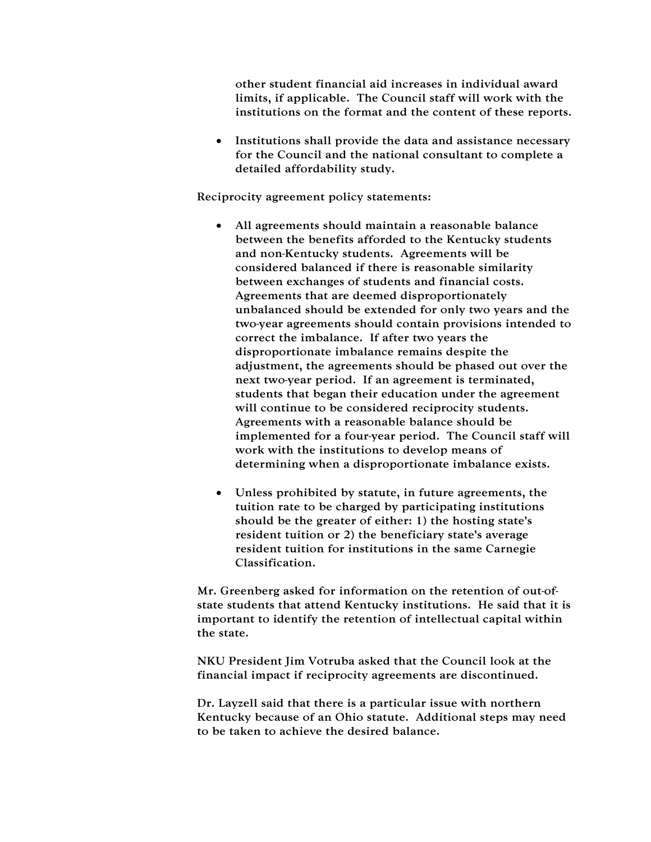other student financial aid increases in individual award limits, if applicable. The Council staff will work with the institutions on the format and the content of these reports.

• Institutions shall provide the data and assistance necessary for the Council and the national consultant to complete a detailed affordability study.

Reciprocity agreement policy statements:

- All agreements should maintain a reasonable balance between the benefits afforded to the Kentucky students and non-Kentucky students. Agreements will be considered balanced if there is reasonable similarity between exchanges of students and financial costs. Agreements that are deemed disproportionately unbalanced should be extended for only two years and the two-year agreements should contain provisions intended to correct the imbalance. If after two years the disproportionate imbalance remains despite the adjustment, the agreements should be phased out over the next two-year period. If an agreement is terminated, students that began their education under the agreement will continue to be considered reciprocity students. Agreements with a reasonable balance should be implemented for a four-year period. The Council staff will work with the institutions to develop means of determining when a disproportionate imbalance exists.
- Unless prohibited by statute, in future agreements, the tuition rate to be charged by participating institutions should be the greater of either: 1) the hosting state's resident tuition or 2) the beneficiary state's average resident tuition for institutions in the same Carnegie Classification.

Mr. Greenberg asked for information on the retention of out-ofstate students that attend Kentucky institutions. He said that it is important to identify the retention of intellectual capital within the state.

NKU President Jim Votruba asked that the Council look at the financial impact if reciprocity agreements are discontinued.

Dr. Layzell said that there is a particular issue with northern Kentucky because of an Ohio statute. Additional steps may need to be taken to achieve the desired balance.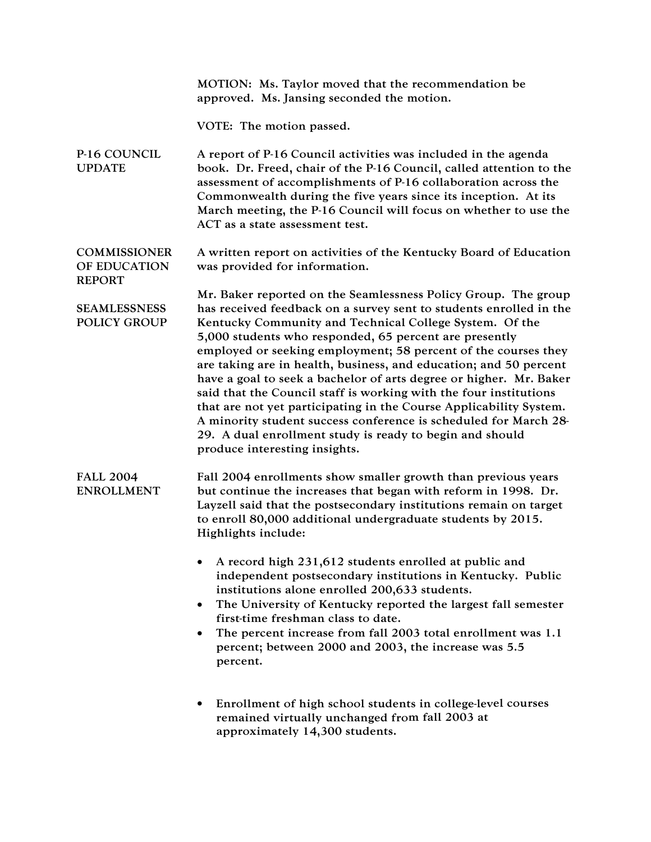MOTION: Ms. Taylor moved that the recommendation be approved. Ms. Jansing seconded the motion. VOTE: The motion passed. P-16 COUNCIL UPDATE book. Dr. Freed, chair of the P-16 Council, called attention to the March meeting, the P-16 Council will focus on whether to use the ACT as a state assessment test. OF EDUCATION EPORT R COMMISSIONER A written report on activities of the Kentucky Board of Education was provided for information. POLICY GROUP has received feedback on a survey sent to students enrolled in the Kentucky Community and Technical College System. Of the have a goal to seek a bachelor of arts degree or higher. Mr. Baker A minority student success conference is scheduled for March 28-29. A dual enrollment study is ready to begin and should produce interesting insights. ENROLLMENT Layzell said that the postsecondary institutions remain on target to enroll 80,000 additional undergraduate students by 2015. Highlights include: • A record high 231,612 students enrolled at public and independent postsecondary institutions in Kentucky. Public • The University of Kentucky reported the largest fall semester • The percent increase from fall 2003 total enrollment was 1.1 percent; between 2000 and 2003, the increase was 5.5 percent. • Enrollment of high school students in college-level courses remained virtually unchanged from fall 2003 at approximately 14,300 students. A report of P-16 Council activities was included in the agenda assessment of accomplishments of P-16 collaboration across the Commonwealth during the five years since its inception. At its Mr. Baker reported on the Seamlessness Policy Group. The group 5,000 students who responded, 65 percent are presently employed or seeking employment; 58 percent of the courses they are taking are in health, business, and education; and 50 percent said that the Council staff is working with the four institutions that are not yet participating in the Course Applicability System. SEAMLESSNESS Fall 2004 enrollments show smaller growth than previous years but continue the increases that began with reform in 1998. Dr. FALL 2004 institutions alone enrolled 200,633 students. first-time freshman class to date.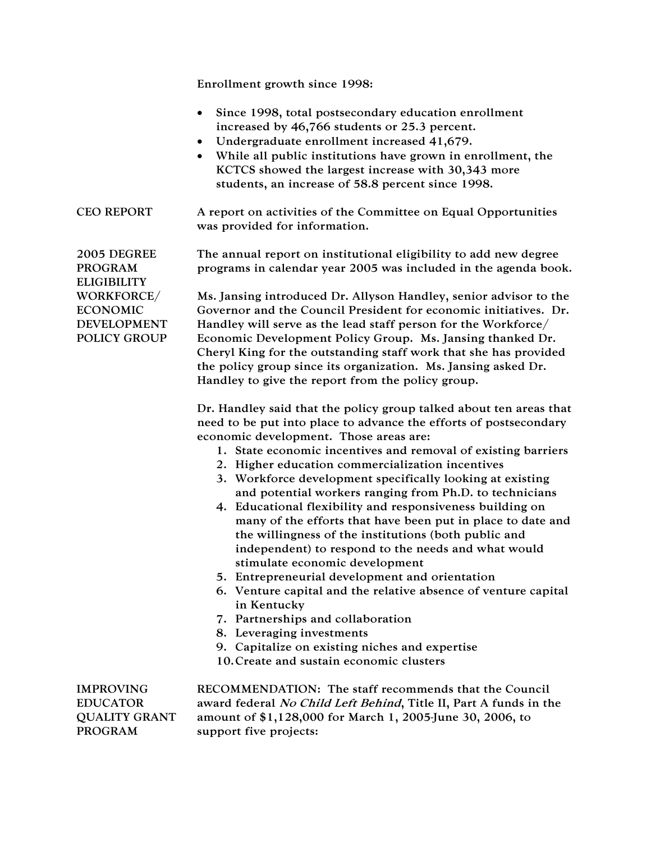• Since 1998, total postsecondary education enrollment • Undergraduate enrollment increased 41,679. • While all public institutions have grown in enrollment, the KCTCS showed the largest increase with 30,343 more CEO REPORT A report on activities of the Committee on Equal Opportunities The annual report on institutional eligibility to add new degree Enrollment growth since 1998: increased by 46,766 students or 25.3 percent. students, an increase of 58.8 percent since 1998. was provided for information. 2005 DEGREE PROGRAM **ELIGIBILITY** programs in calendar year 2005 was included in the agenda book. Ms. Jansing introduced Dr. Allyson Handley, senior advisor to t he Governor and the Council President for economic initiatives. Dr . Handley will serve as the lead staff person for the Workforce/ Economic Development Policy Group. Ms. Jansing thanked Dr . Cheryl King for the outstanding staff work that she has provided WORKFORCE/ ECONOMIC DEVELOPMENT POLICY GROUP the policy group since its organization. Ms. Jansing asked Dr. Dr. Handley said that the policy group talked about ten areas that nee d to be put into place to advance the efforts of postsecondary eco nomic development. Those areas are: 1. State economic incentives and removal of existing barriers 2. Higher education commercialization incentives 4. Educational flexibility and responsiveness building on many of the efforts that have been put in place to date and the willingness of the institutions (both public and independent) to respond to the needs and what would 5. Entrepreneurial development and orientation 6. Venture capital and the relative absence of venture capital . Capitalize on existing niches and expertise 9 QUALITY GRANT PROGRAM RECOMMENDATION: The staff recommends that the Council award federal No Child Left Behind, Title II, Part A funds in the mount of \$1,128,000 for March 1, 2005-June 30, 2006, to a Handley to give the report from the policy group. 3. Workforce development specifically looking at existing and potential workers ranging from Ph.D. to technicians stimulate economic development in Kentucky 7. Partnerships and collaboration 8. Leveraging investments 10.Create and sustain economic clusters IMPROVING EDUCATOR support five projects: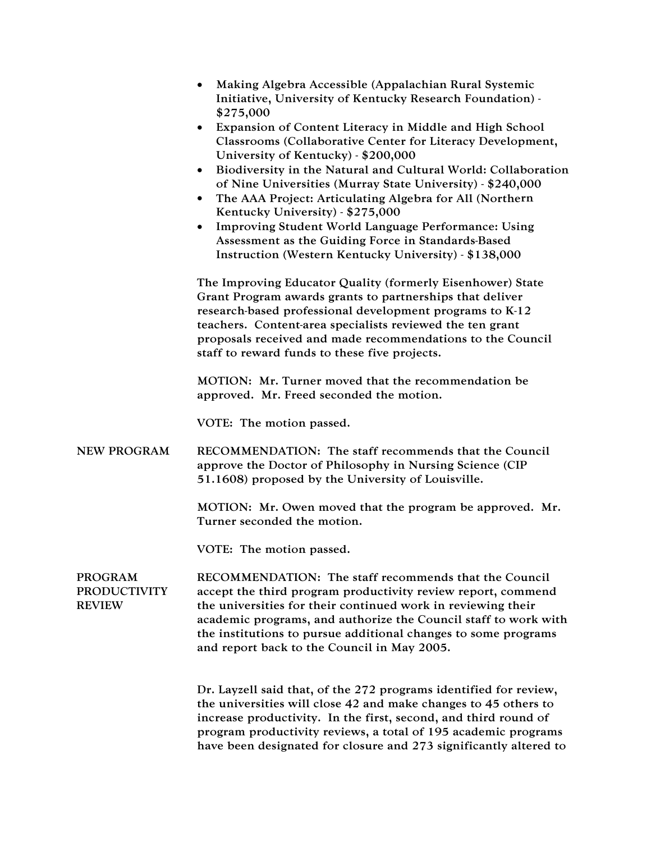- Making Algebra Accessible (Appalachian Rural Systemic Initiative, University of Kentucky Research Foundation) - \$275,000
- Expansion of Content Literacy in Middle and High School Classrooms (Collaborative Center for Literacy Development, University of Kentucky) - \$200,000
- Biodiversity in the Natural and Cultural World: Collaboration of Nine Universities (Murray State University) - \$240,000
- The AAA Project: Articulating Algebra for All (Northern Kentucky University) - \$275,000
- Improving Student World Language Performance: Using Assessment as the Guiding Force in Standards-Based Instruction (Western Kentucky University) - \$138,000

The Improving Educator Quality (formerly Eisenhower) State research-based professional development programs to K-12 teachers. Content-area specialists reviewed the ten grant proposals received and made recommendations to the Council Grant Program awards grants to partnerships that deliver staff to reward funds to these five projects.

MOTION: Mr. Turner moved that the recommendation be approved. Mr. Freed seconded the motion.

VOTE: The motion passed.

NEW PROGRAM RECOMMENDATION: The staff recommends that the Council 51.1608) proposed by the University of Louisville. approve the Doctor of Philosophy in Nursing Science (CIP

> MOTION: Mr. Owen moved that the program be approved. Mr. Turner seconded the motion.

VOTE: The motion passed.

PROGRAM PRODUCTIVITY REVIEW the universities for their continued work in reviewing their academic programs, and authorize the Council staff to work with the institutions to pursue additional changes to some programs RECOMMENDATION: The staff recommends that the Council accept the third program productivity review report, commend and report back to the Council in May 2005.

> increase productivity. In the first, second, and third round of program productivity reviews, a total of 195 academic programs Dr. Layzell said that, of the 272 programs identified for review, the universities will close 42 and make changes to 45 others to have been designated for closure and 273 significantly altered to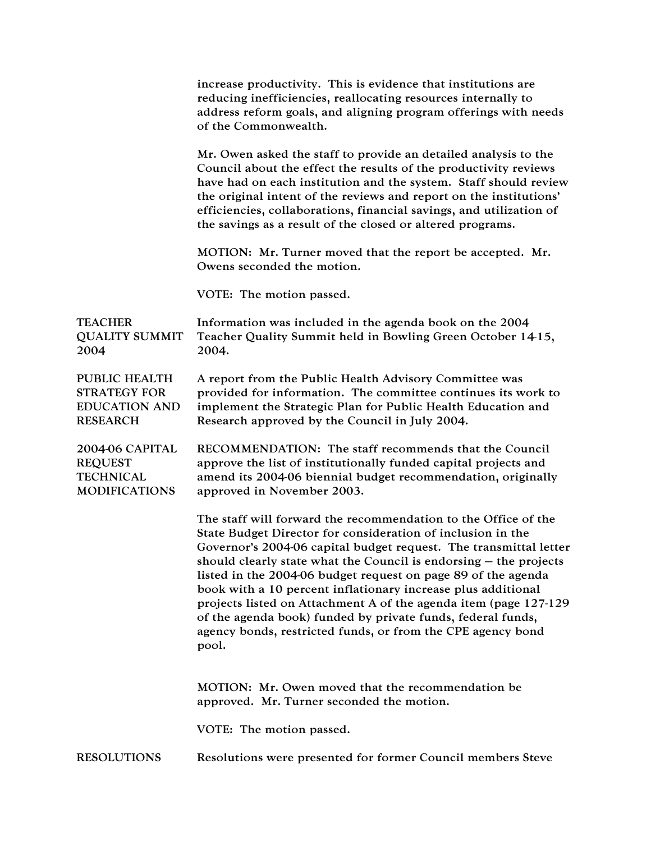|                                                                                        | increase productivity. This is evidence that institutions are<br>reducing inefficiencies, reallocating resources internally to<br>address reform goals, and aligning program offerings with needs<br>of the Commonwealth.                                                                                                                                                                                                                                                                                                                                                                                             |
|----------------------------------------------------------------------------------------|-----------------------------------------------------------------------------------------------------------------------------------------------------------------------------------------------------------------------------------------------------------------------------------------------------------------------------------------------------------------------------------------------------------------------------------------------------------------------------------------------------------------------------------------------------------------------------------------------------------------------|
|                                                                                        | Mr. Owen asked the staff to provide an detailed analysis to the<br>Council about the effect the results of the productivity reviews<br>have had on each institution and the system. Staff should review<br>the original intent of the reviews and report on the institutions'<br>efficiencies, collaborations, financial savings, and utilization of<br>the savings as a result of the closed or altered programs.                                                                                                                                                                                                    |
|                                                                                        | MOTION: Mr. Turner moved that the report be accepted. Mr.<br>Owens seconded the motion.                                                                                                                                                                                                                                                                                                                                                                                                                                                                                                                               |
|                                                                                        | VOTE: The motion passed.                                                                                                                                                                                                                                                                                                                                                                                                                                                                                                                                                                                              |
| <b>TEACHER</b><br><b>QUALITY SUMMIT</b><br>2004                                        | Information was included in the agenda book on the 2004<br>Teacher Quality Summit held in Bowling Green October 14-15,<br>2004.                                                                                                                                                                                                                                                                                                                                                                                                                                                                                       |
| <b>PUBLIC HEALTH</b><br><b>STRATEGY FOR</b><br><b>EDUCATION AND</b><br><b>RESEARCH</b> | A report from the Public Health Advisory Committee was<br>provided for information. The committee continues its work to<br>implement the Strategic Plan for Public Health Education and<br>Research approved by the Council in July 2004.                                                                                                                                                                                                                                                                                                                                                                             |
| 2004-06 CAPITAL<br><b>REQUEST</b><br><b>TECHNICAL</b><br><b>MODIFICATIONS</b>          | RECOMMENDATION: The staff recommends that the Council<br>approve the list of institutionally funded capital projects and<br>amend its 2004-06 biennial budget recommendation, originally<br>approved in November 2003.                                                                                                                                                                                                                                                                                                                                                                                                |
|                                                                                        | The staff will forward the recommendation to the Office of the<br>State Budget Director for consideration of inclusion in the<br>Governor's 2004-06 capital budget request. The transmittal letter<br>should clearly state what the Council is endorsing $-$ the projects<br>listed in the 2004-06 budget request on page 89 of the agenda<br>book with a 10 percent inflationary increase plus additional<br>projects listed on Attachment A of the agenda item (page 127-129<br>of the agenda book) funded by private funds, federal funds,<br>agency bonds, restricted funds, or from the CPE agency bond<br>pool. |
|                                                                                        | MOTION: Mr. Owen moved that the recommendation be<br>approved. Mr. Turner seconded the motion.                                                                                                                                                                                                                                                                                                                                                                                                                                                                                                                        |
|                                                                                        | VOTE: The motion passed.                                                                                                                                                                                                                                                                                                                                                                                                                                                                                                                                                                                              |
| <b>RESOLUTIONS</b>                                                                     | Resolutions were presented for former Council members Steve                                                                                                                                                                                                                                                                                                                                                                                                                                                                                                                                                           |